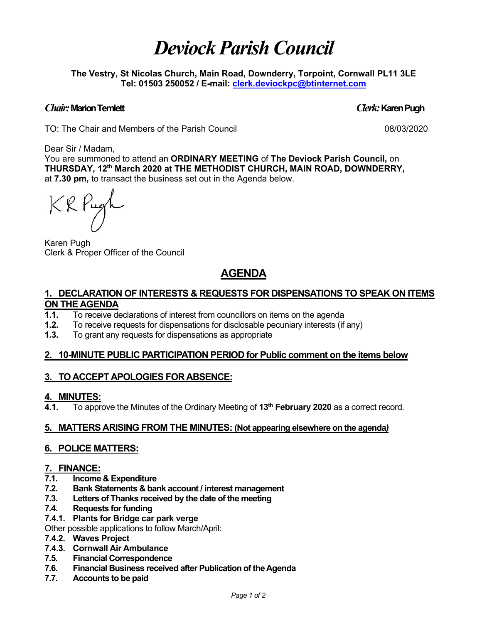# *Deviock Parish Council*

**The Vestry, St Nicolas Church, Main Road, Downderry, Torpoint, Cornwall PL11 3LE Tel: 01503 250052 / E-mail: [clerk.deviockpc@btinternet.com](mailto:clerk.deviockpc@btinternet.com)**

### *Chair:* **Marion Temlett** *Clerk:* **Karen Pugh**

TO: The Chair and Members of the Parish Council 08/03/2020

Dear Sir / Madam,

You are summoned to attend an **ORDINARY MEETING** of **The Deviock Parish Council,** on **THURSDAY, 12th March 2020 at THE METHODIST CHURCH, MAIN ROAD, DOWNDERRY,** at **7.30 pm,** to transact the business set out in the Agenda below.

KRPugh

Karen Pugh Clerk & Proper Officer of the Council

### **AGENDA**

#### **1. DECLARATION OF INTERESTS & REQUESTS FOR DISPENSATIONS TO SPEAK ON ITEMS ON THE AGENDA**

- **1.1.** To receive declarations of interest from councillors on items on the agenda
- **1.2.** To receive requests for dispensations for disclosable pecuniary interests (if any)
- **1.3.** To grant any requests for dispensations as appropriate

#### **2. 10-MINUTE PUBLIC PARTICIPATION PERIOD for Public comment on the items below**

#### **3. TO ACCEPT APOLOGIES FOR ABSENCE:**

#### **4. MINUTES:**

**4.1.** To approve the Minutes of the Ordinary Meeting of **13th February 2020** as a correct record.

#### **5. MATTERS ARISING FROM THE MINUTES: (Not appearing elsewhere on the agenda***)*

#### **6. POLICE MATTERS:**

### **7. FINANCE:**

- **7.1. Income & Expenditure**
- **7.2. Bank Statements & bank account / interest management**
- **7.3. Letters of Thanks received by the date of the meeting**
- **7.4. Requests for funding**
- **7.4.1. Plants for Bridge car park verge**
- Other possible applications to follow March/April:
- **7.4.2. Waves Project**
- **7.4.3. Cornwall Air Ambulance**
- **7.5. Financial Correspondence**
- **7.6. Financial Business received after Publication of the Agenda**
- **7.7. Accounts to be paid**